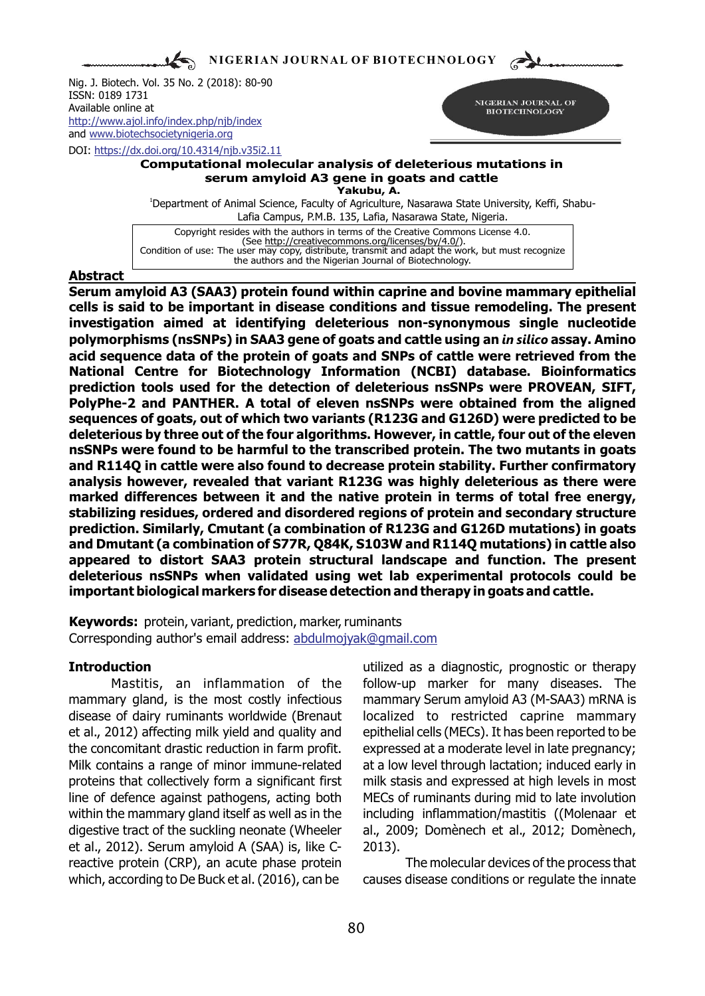**NIGERIAN JOURNAL OF BIOTECHNOLOGY**

Nig. J. Biotech. Vol. 35 No. 2 (2018): 80-90 ISSN: 0189 1731 Available online at and [www.biotechsocietynigeria.org](http://www.biotechsocietynigeria.org) <http://www.ajol.info/index.php/njb/index>

DOI: https://dx.doi.org/10.4314/njb.v35i2.11



### **Computational molecular analysis of deleterious mutations in serum amyloid A3 gene in goats and cattle Yakubu, A.**

<sup>1</sup>Department of Animal Science, Faculty of Agriculture, Nasarawa State University, Keffi, Shabu-Lafia Campus, P.M.B. 135, Lafia, Nasarawa State, Nigeria.

Copyright resides with the authors in terms of the Creative Commons License 4.0. (See http://creativecommons.org/licenses/by/4.0/). Condition of use: The user may copy, distribute, transmit and adapt the work, but must recognize the authors and the Nigerian Journal of Biotechnology.

## **Abstract**

**Serum amyloid A3 (SAA3) protein found within caprine and bovine mammary epithelial cells is said to be important in disease conditions and tissue remodeling. The present investigation aimed at identifying deleterious non-synonymous single nucleotide polymorphisms (nsSNPs) in SAA3 gene of goats and cattle using an** *in silico* **assay. Amino acid sequence data of the protein of goats and SNPs of cattle were retrieved from the National Centre for Biotechnology Information (NCBI) database. Bioinformatics prediction tools used for the detection of deleterious nsSNPs were PROVEAN, SIFT, PolyPhe-2 and PANTHER. A total of eleven nsSNPs were obtained from the aligned sequences of goats, out of which two variants (R123G and G126D) were predicted to be deleterious by three out of the four algorithms. However, in cattle, four out of the eleven nsSNPs were found to be harmful to the transcribed protein. The two mutants in goats and R114Q in cattle were also found to decrease protein stability. Further confirmatory analysis however, revealed that variant R123G was highly deleterious as there were marked differences between it and the native protein in terms of total free energy, stabilizing residues, ordered and disordered regions of protein and secondary structure prediction. Similarly, Cmutant (a combination of R123G and G126D mutations) in goats and Dmutant (a combination of S77R, Q84K, S103W and R114Q mutations) in cattle also appeared to distort SAA3 protein structural landscape and function. The present deleterious nsSNPs when validated using wet lab experimental protocols could be important biological markers for disease detection and therapy in goats and cattle.**

**Keywords:** protein, variant, prediction, marker, ruminants Corresponding author's email address: abdulmojyak@gmail.com

mammary gland, is the most costly infectious mammary Serum amyloid A3 (M-SAA3) mRNA is disease of dairy ruminants worldwide (Brenaut localized to restricted caprine mammary et al., 2012) affecting milk yield and quality and epithelial cells (MECs). It has been reported to be the concomitant drastic reduction in farm profit. expressed at a moderate level in late pregnancy; Milk contains a range of minor immune-related at a low level through lactation; induced early in proteins that collectively form a significant first milk stasis and expressed at high levels in most line of defence against pathogens, acting both MECs of ruminants during mid to late involution within the mammary gland itself as well as in the including inflammation/mastitis ((Molenaar et digestive tract of the suckling neonate (Wheeler al., 2009; Domènech et al., 2012; Domènech, et al., 2012). Serum amyloid A (SAA) is, like C- 2013). reactive protein (CRP), an acute phase protein The molecular devices of the process that which, according to De Buck et al. (2016), can be causes disease conditions or regulate the innate

**Introduction universal introduction** utilized as a diagnostic, prognostic or therapy Mastitis, an inflammation of the follow-up marker for many diseases. The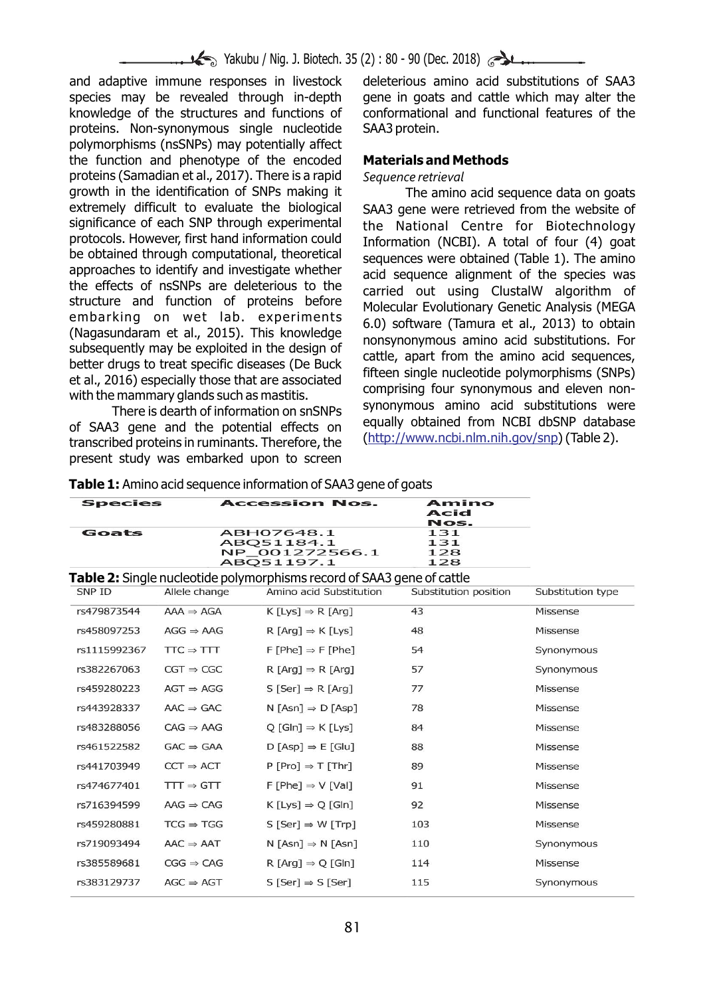## Yakubu / Nig. J. Biotech. 35 (2): 80 - 90 (Dec. 2018)

species may be revealed through in-depth gene in goats and cattle which may alter the knowledge of the structures and functions of conformational and functional features of the proteins. Non-synonymous single nucleotide SAA3 protein. polymorphisms (nsSNPs) may potentially affect the function and phenotype of the encoded **Materials and Methods** proteins (Samadian et al., 2017). There is a rapid *Sequence retrieval* growth in the identification of SNPs making it<br>extremely difficult to evaluate the biological SAA3 gene were retrieved from the website of extremely difficult to evaluate the biological SAA3 gene were retrieved from the website of significance of each SNP through experimental the National Centre for Biotechnology significance of each SNP through experimental the National Centre for Biotechnology<br>protocols. However, first hand information could the formation (NCBI) A total of four (4) goat protocols. However, first hand information could Information (NCBI). A total of four (4) goat<br>be obtained through computational, theoretical sequences were obtained (Table 1). The amino be obtained through computational, theoretical sequences were obtained (Table 1). The amino<br>approaches to identify and investigate whether sacid sequence alignment of the species was approaches to identify and investigate whether acid sequence alignment of the species was<br>the effects of nsSNPs are deleterious to the servied out using ClustalW, algorithm of the effects of nsSNPs are deleterious to the carried out using ClustalW algorithm of structure and function of proteins before Malgorithm of

of SAA3 gene and the potential effects on equally obtained from NCBI dbSNP database transcribed proteins in ruminants. Therefore, the present study was embarked upon to screen

and adaptive immune responses in livestock deleterious amino acid substitutions of SAA3

structure and function of proteins before<br>
embarking on wet lab. experiments<br>
(Nagasundaram et al., 2015). This knowledge<br>
subsequently may be exploited in the design of<br>
better drugs to treat specific diseases (De Buck<br>
e http://www.ncbi.nlm.nih.gov/snp

**Table 1:** Amino acid sequence information of SAA3 gene of goats

| <b>Species</b> |                       | <b>Accession Nos.</b>                                                         | Amino<br>Acid<br>Nos.    |                   |
|----------------|-----------------------|-------------------------------------------------------------------------------|--------------------------|-------------------|
| Goats          |                       | ABH07648.1<br>ABO51184.1<br>NP 001272566.1<br>ABQ51197.1                      | 131<br>131<br>128<br>128 |                   |
|                |                       | <b>Table 2:</b> Single nucleotide polymorphisms record of SAA3 gene of cattle |                          |                   |
| SNP ID         | Allele change         | Amino acid Substitution                                                       | Substitution position    | Substitution type |
| rs479873544    | $AAA \Rightarrow AGA$ | $K$ [Lys] $\Rightarrow$ R [Arq]                                               | 43                       | Missense          |
| rs458097253    | $AGG \Rightarrow AAG$ | $R$ [Arg] $\Rightarrow$ K [Lys]                                               | 48                       | Missense          |
| rs1115992367   | $TC \Rightarrow TTT$  | $F[Phe] \Rightarrow F[Phe]$                                                   | 54                       | Synonymous        |
| rs382267063    | $CGT \Rightarrow CGC$ | $R$ [Arg] $\Rightarrow$ R [Arg]                                               | 57                       | Synonymous        |
| rs459280223    | $AGT \Rightarrow AGG$ | $S$ [Ser] $\Rightarrow$ R [Arg]                                               | 77                       | Missense          |
| rs443928337    | $AAC \Rightarrow GAC$ | $N$ [Asn] $\Rightarrow$ D [Asp]                                               | 78                       | Missense          |
| rs483288056    | $CAG \Rightarrow AAG$ | $Q$ [Gln] $\Rightarrow$ K [Lys]                                               | 84                       | <b>Missense</b>   |
| rs461522582    | $GAC \Rightarrow GAA$ | $D$ [Asp] $\Rightarrow$ E [Glu]                                               | 88                       | Missense          |
| rs441703949    | $CCT \Rightarrow ACT$ | $P[Pro] \Rightarrow T[Thr]$                                                   | 89                       | Missense          |
| rs474677401    | $TTT \Rightarrow GTT$ | $F$ [Phe] $\Rightarrow$ V [Val]                                               | 91                       | <b>Missense</b>   |
| rs716394599    | $AAG \Rightarrow CAG$ | $K[Lys] \Rightarrow Q[GIn]$                                                   | 92                       | Missense          |
| rs459280881    | $TCG \Rightarrow TGG$ | $S$ [Ser] $\Rightarrow W$ [Trp]                                               | 103                      | Missense          |
| rs719093494    | $AAC \Rightarrow AAT$ | $N$ [Asn] $\Rightarrow N$ [Asn]                                               | 110                      | Synonymous        |
| rs385589681    | $CGG \Rightarrow CAG$ | $R$ [Arg] $\Rightarrow$ Q [Gln]                                               | 114                      | Missense          |
| rs383129737    | $AGC \Rightarrow AGT$ | $S$ [Ser] $\Rightarrow$ S [Ser]                                               | 115                      | Synonymous        |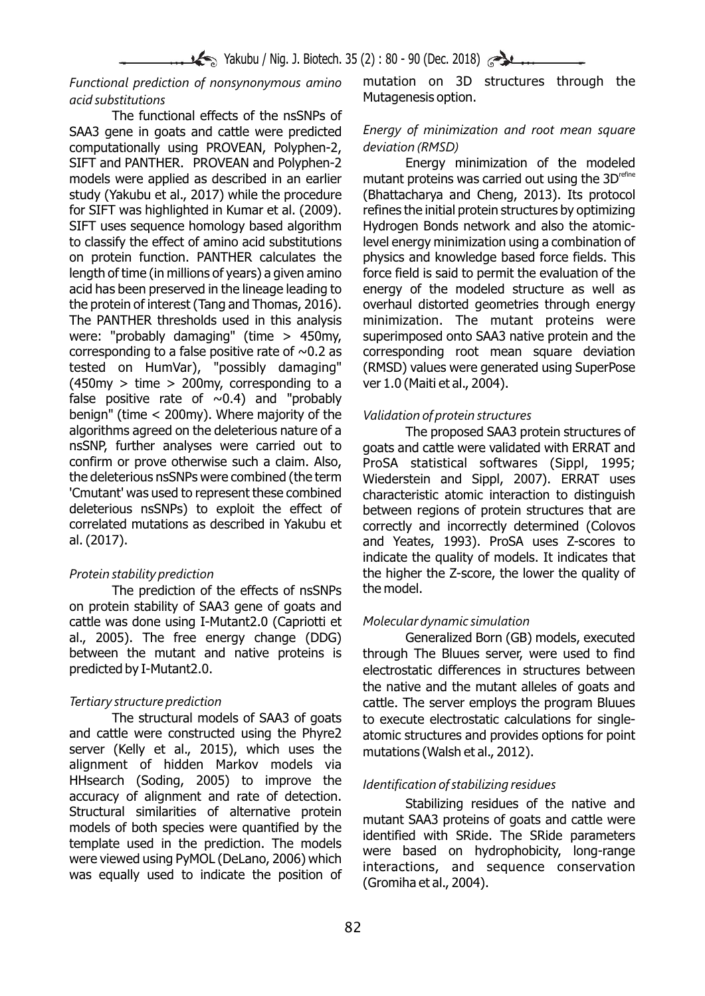# *acid substitutions* Mutagenesis option.

The functional effects of the nsSNPs of SAA3 gene in goats and cattle were predicted *Energy of minimization and root mean square*  computationally using PROVEAN, Polyphen-2, *deviation (RMSD)* SIFT and PANTHER. PROVEAN and Polyphen-2 Energy minimization of the modeled models were applied as described in an earlier mutant proteins was carried out using the  $3D^{\text{refine}}$ study (Yakubu et al., 2017) while the procedure (Bhattacharya and Cheng, 2013). Its protocol for SIFT was highlighted in Kumar et al. (2009). refines the initial protein structures by optimizing SIFT uses sequence homology based algorithm Hydrogen Bonds network and also the atomicto classify the effect of amino acid substitutions level energy minimization using a combination of on protein function. PANTHER calculates the physics and knowledge based force fields. This length of time (in millions of years) a given amino force field is said to permit the evaluation of the acid has been preserved in the lineage leading to energy of the modeled structure as well as the protein of interest (Tang and Thomas, 2016). overhaul distorted geometries through energy The PANTHER thresholds used in this analysis minimization. The mutant proteins were were: "probably damaging" (time > 450my, superimposed onto SAA3 native protein and the corresponding to a false positive rate of  $\sim 0.2$  as corresponding root mean square deviation tested on HumVar), "possibly damaging" (RMSD) values were generated using SuperPose  $(450 \text{my} > \text{time} > 200 \text{my}$ , corresponding to a ver 1.0 (Maiti et al., 2004). false positive rate of  $\sim$ 0.4) and "probably benign" (time < 200my). Where majority of the *Validation of protein structures* algorithms agreed on the deleterious nature of a<br>nsSNP, further analyses were carried out to apats and cattle were validated with ERRAT and nsSNP, further analyses were carried out to goats and cattle were validated with ERRAT and confirm or prove otherwise such a claim. Also, ProSA statistical softwares (Sinnl. 1995; the deleterious nsSNPs were combined (the term Wiederstein and Sippl, 2007). ERRAT uses<br>'Cmutant' was used to represent these combined characteristic atomic interaction to distinguish 'Cmutant' was used to represent these combined characteristic atomic interaction to distinguish<br>deleterious nsSNPs) to exploit the effect of between regions of protein structures that are deleterious nsSNPs) to exploit the effect of between regions of protein structures that are correlated mutations as described in Yakubu et correctly and incorrectly determined (Colovos al. (2017). and Yeates, 1993). ProSA uses Z-scores to

The prediction of the effects of nsSNPs on protein stability of SAA3 gene of goats and cattle was done using I-Mutant2.0 (Capriotti et *Molecular dynamic simulation*  al., 2005). The free energy change (DDG) Generalized Born (GB) models, executed between the mutant and native proteins is through The Bluues server, were used to find predicted by I-Mutant2.0. electrostatic differences in structures between

The structural models of SAA3 of goats to execute electrostatic calculations for single-<br>and cattle were constructed using the Phyre2 atomic structures and provides options for point server (Kelly et al., 2015), which uses the mutations (Walsh et al., 2012). alignment of hidden Markov models via HHsearch (Soding, 2005) to improve the *Identification of stabilizing residues* accuracy of alignment and rate of detection.<br>
Structural similarities of alternative protein<br>
models of both species were quantified by the<br>
template used in the prediction. The models<br>
were based on hydrophobicity, long-r

*Functional prediction of nonsynonymous amino* mutation on 3D structures through the

ProSA statistical softwares (Sippl, 1995; correctly and incorrectly determined (Colovos indicate the quality of models. It indicates that *Protein stability prediction*<br>The prediction of the effects of nsSNPs the model.

the native and the mutant alleles of goats and *Tertiary structure prediction*<br>-The structural models of SAA3 of goats<br>-The structural models of SAA3 of goats<br>-to execute electrostatic calculations for single atomic structures and provides options for point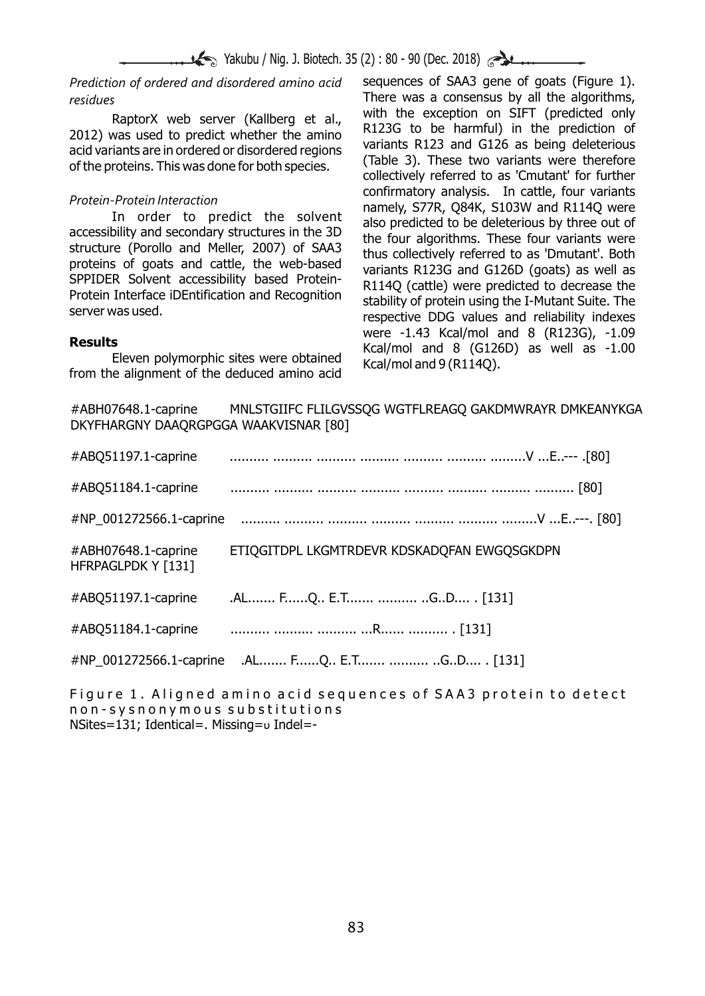$\blacktriangleright$  Yakubu / Nig. J. Biotech. 35 (2) : 80 - 90 (Dec. 2018)

*Prediction of ordered and disordered amino acid* sequences of SAA3 gene of goats (Figure 1). There was a consensus by all the algorithms, *residues* RaptorX web server (Kallberg et al., with the exception on SIFT (predicted only 2012) was used to predict whether the amino acid variants are in ordered or disordered regions of the proteins. This was done for both species Protein-Protein Interaction<br>
In order to predict the solvent<br>
accessibility and secondary structures in the 3D<br>
structure (Porollo and Meller, 2007) of SAA3<br>
proteins of goats and cattle, the web-based<br>
SPPIDER Solvent acc **Results**<br>**Results** Eleven polymorphic sites were obtained Kcal/mol and 8 (G126D) as well as -1.00<br>**From the alignment of the deduced amino acid** Kcal/mol and 9 (R114Q).

#ABH07648.1-caprine MNLSTGIIFC FLILGVSSQG WGTFLREAGQ GAKDMWRAYR DMKEANYKGA DKYFHARGNY DAAQRGPGGA WAAKVISNAR [80]

| #ABQ51197.1-caprine                       |                                                |
|-------------------------------------------|------------------------------------------------|
| #ABQ51184.1-caprine                       |                                                |
| #NP 001272566.1-caprine                   |                                                |
| #ABH07648.1-caprine<br>HFRPAGLPDK Y [131] | ETIQGITDPL LKGMTRDEVR KDSKADQFAN EWGQSGKDPN    |
| #ABQ51197.1-caprine                       | .AL FQ E.T  GD . [131]                         |
| #ABQ51184.1-caprine                       |                                                |
|                                           | #NP_001272566.1-caprine .AL FQ E.T  GD . [131] |
|                                           |                                                |

Figure 1. Aligned amino acid sequences of SAA3 protein to detect n o n - s y s n o n y m o u s s u b s t i t u t i o n s NSites=131; Identical=. Missing= $\upsilon$  Indel=-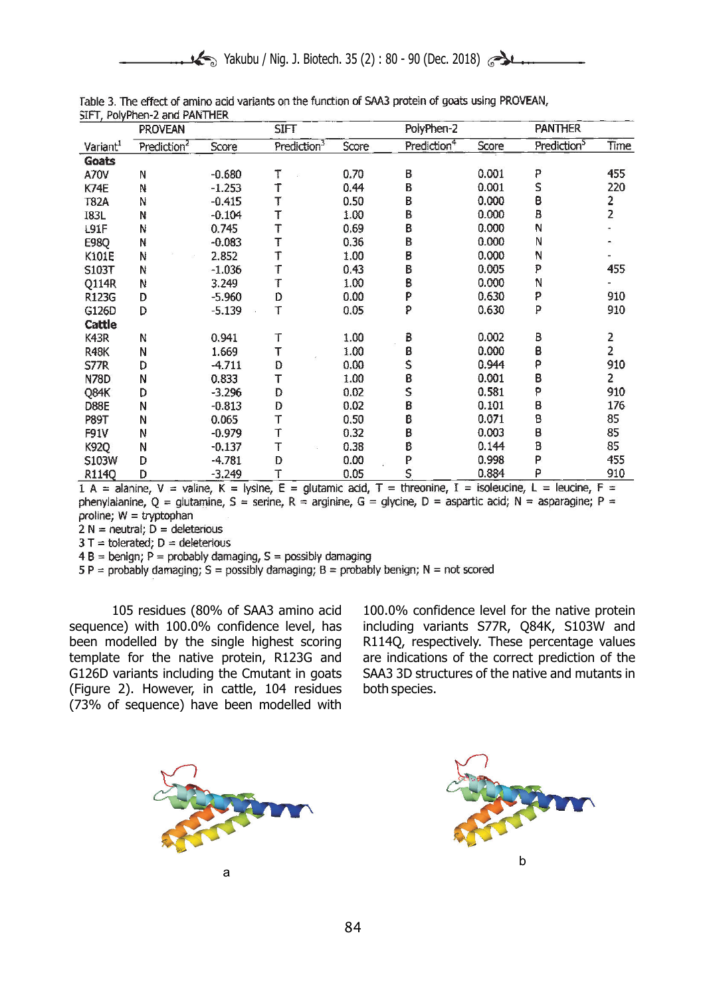|                      | <b>PROVEAN</b>          |          | <b>SIFT</b>             |       | PolyPhen-2              |       | <b>PANTHER</b>          |                |
|----------------------|-------------------------|----------|-------------------------|-------|-------------------------|-------|-------------------------|----------------|
| Variant <sup>1</sup> | Prediction <sup>2</sup> | Score    | Prediction <sup>3</sup> | Score | Prediction <sup>4</sup> | Score | Prediction <sup>5</sup> | Time           |
| <b>Goats</b>         |                         |          |                         |       |                         |       |                         |                |
| A70V                 | N                       | $-0.680$ | Τ                       | 0.70  | B                       | 0.001 | P                       | 455            |
| K74E                 | N                       | $-1.253$ | Т                       | 0.44  | $\mathsf B$             | 0.001 | S                       | 220            |
| <b>T82A</b>          | N                       | $-0.415$ | Ţ                       | 0.50  | B                       | 0.000 | B                       | 2<br>2         |
| <b>I83L</b>          | N                       | $-0.104$ | T                       | 1.00  | B                       | 0.000 | B                       |                |
| L91F                 | N                       | 0.745    | T                       | 0.69  | В                       | 0.000 | N                       |                |
| <b>E98Q</b>          | N                       | $-0.083$ | T                       | 0.36  | B                       | 0.000 | N                       |                |
| K101E                | N                       | 2.852    | T                       | 1.00  | B                       | 0.000 | N                       |                |
| S103T                | N                       | $-1.036$ | Т                       | 0.43  | В                       | 0.005 | P                       | 455            |
| Q114R                | N                       | 3.249    | Т                       | 1.00  | B                       | 0.000 | N                       |                |
| R123G                | D                       | $-5.960$ | D                       | 0.00  | P                       | 0.630 | P                       | 910            |
| G126D                | D                       | $-5.139$ | T                       | 0.05  | P                       | 0.630 | P                       | 910            |
| Cattle               |                         |          |                         |       |                         |       |                         |                |
| K43R                 | N                       | 0.941    | Т                       | 1.00  | B                       | 0.002 | B                       | 2              |
| <b>R48K</b>          | N                       | 1.669    | т                       | 1.00  | B                       | 0.000 | B                       | $\overline{c}$ |
| <b>S77R</b>          | D                       | $-4.711$ | D                       | 0.00  | S                       | 0.944 | ρ                       | 910            |
| <b>N78D</b>          | N                       | 0.833    | т                       | 1.00  | B                       | 0.001 | B                       | 2              |
| Q84K                 | D                       | $-3.296$ | D                       | 0.02  | S                       | 0.581 | P                       | 910            |
| D88E                 | N                       | $-0.813$ | D                       | 0.02  | ₿                       | 0.101 | В                       | 176            |
| <b>P89T</b>          | N                       | 0.065    | T                       | 0.50  | ₿                       | 0.071 | В                       | 85             |
| <b>F91V</b>          | Ν                       | $-0.979$ | T                       | 0.32  | ₿                       | 0.003 | в                       | 85             |
| <b>K92Q</b>          | Ν                       | $-0.137$ | T                       | 0.38  | ₿                       | 0.144 | B                       | 85             |
| S103W                | D                       | $-4.781$ | D                       | 0.00  | P                       | 0.998 | P                       | 455            |
| R114Q                | D                       | $-3.249$ | Т                       | 0.05  | S                       | 0.884 | P                       | 910            |

Table 3. The effect of amino acid variants on the function of SAA3 protein of goats using PROVEAN, STET PolyPhen-2 and PANTHER

 $1 A =$  alanine,  $V =$  valine,  $K =$  lysine,  $E =$  glutamic acid,  $T =$  threonine,  $I =$  isoleucine,  $L =$  leucine,  $F =$ phenylaianine,  $0 =$  qlutamine,  $S =$  serine,  $R =$  arginine,  $G =$  glycine,  $D =$  aspartic acid;  $N =$  asparagine;  $P =$ proline;  $W = tryptophan$ 

 $2 N =$  neutral;  $D =$  deleterious

 $3T =$  tolerated;  $D =$  deleterious

 $4 B = \text{benign}$ ; P = probably damaging, S = possibly damaging

 $5 P =$  probably damaging;  $S =$  possibly damaging;  $B =$  probably benign;  $N =$  not scored

sequence) with 100.0% confidence level, has including variants S77R, Q84K, S103W and been modelled by the single highest scoring R114Q, respectively. These percentage values template for the native protein, R123G and are indications of the correct prediction of the G126D variants including the Cmutant in goats SAA3 3D structures of the native and mutants in (Figure 2). However, in cattle, 104 residues both species. (73% of sequence) have been modelled with

105 residues (80% of SAA3 amino acid 100.0% confidence level for the native protein



b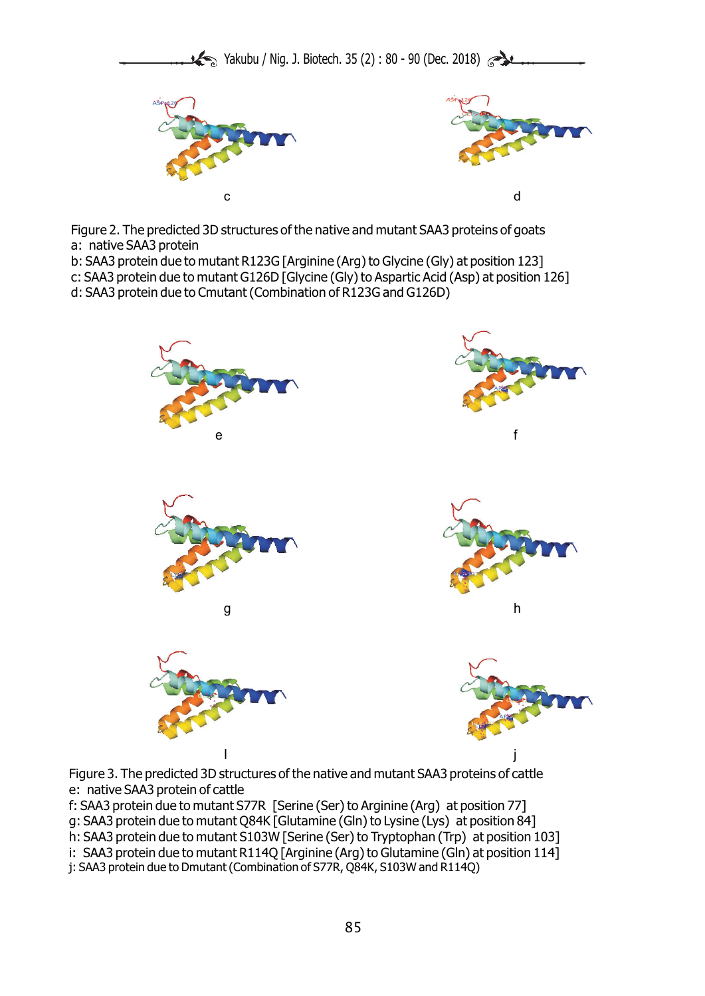





Figure 2. The predicted 3D structures of the native and mutant SAA3 proteins of goats a: native SAA3 protein

b: SAA3 protein due to mutant R123G [Arginine (Arg) to Glycine (Gly) at position 123]

c: SAA3 protein due to mutant G126D [Glycine (Gly) to Aspartic Acid (Asp) at position 126]

d: SAA3 protein due to Cmutant (Combination of R123G and G126D)



Figure 3. The predicted 3D structures of the native and mutant SAA3 proteins of cattle e: native SAA3 protein of cattle

f: SAA3 protein due to mutant S77R [Serine (Ser) to Arginine (Arg) at position 77] g: SAA3 protein due to mutant Q84K [Glutamine (Gln) to Lysine (Lys) at position 84]

h: SAA3 protein due to mutant S103W [Serine (Ser) to Tryptophan (Trp) at position 103]

i: SAA3 protein due to mutant R114Q [Arginine (Arg) to Glutamine (Gln) at position 114]

j: SAA3 protein due to Dmutant (Combination of S77R, Q84K, S103W and R114Q)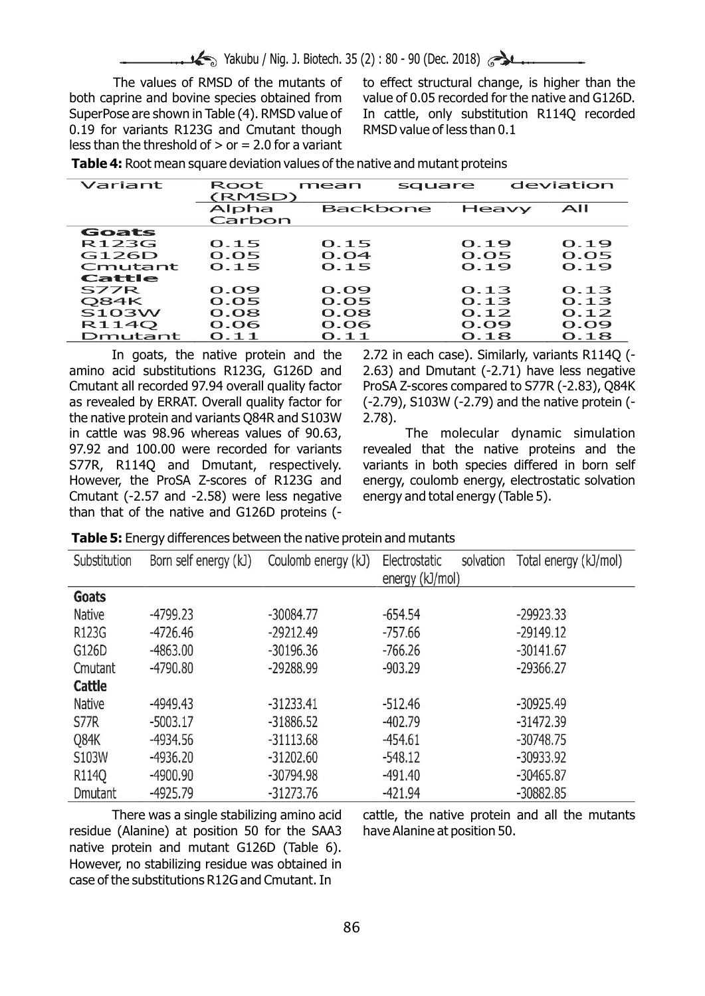Yakubu / Nig. J. Biotech. 35 (2): 80 - 90 (Dec. 2018)

0.19 for variants R123G and Cmutant though RMSD value of less than 0.1 less than the threshold of  $>$  or  $= 2.0$  for a variant

The values of RMSD of the mutants of to effect structural change, is higher than the both caprine and bovine species obtained from value of 0.05 recorded for the native and G126D. SuperPose are shown in Table (4). RMSD value of In cattle, only substitution R114Q recorded

| Variant      | Root<br>(RMSD)  | mean            | square | deviation |
|--------------|-----------------|-----------------|--------|-----------|
|              | Alpha<br>Carbon | <b>Backbone</b> | Heavy  | AII       |
| Goats        |                 |                 |        |           |
| R123G        | 0.15            | 0.15            | 0.19   | 0.19      |
| G126D        | 0.05            | 0.04            | 0.05   | O.05      |
| Cmutant      | 0.15            | 0.15            | 0.19   | 0.19      |
| Cattle       |                 |                 |        |           |
| S77R         | 0.09            | 0.09            | O.13   | O.13      |
| <b>O84K</b>  | 0.05            | O.05            | 0.13   | O.13      |
| <b>S103W</b> | O.08            | 0.08            | 0.12   | O.12      |
| R114O        | 0.06            | 0.06            | 0.09   | 0.09      |
| Dmutant      | O.11            | 0.11            | 0.18   | 0.18      |

**Table 4:** Root mean square deviation values of the native and mutant proteins

amino acid substitutions R123G, G126D and 2.63) and Dmutant (-2.71) have less negative Cmutant all recorded 97.94 overall quality factor ProSA Z-scores compared to S77R (-2.83), Q84K as revealed by ERRAT. Overall quality factor for (-2.79), S103W (-2.79) and the native protein (the native protein and variants Q84R and S103W 2.78). in cattle was 98.96 whereas values of 90.63, The molecular dynamic simulation 97.92 and 100.00 were recorded for variants revealed that the native proteins and the S77R, R114Q and Dmutant, respectively. variants in both species differed in born self However, the ProSA Z-scores of R123G and energy, coulomb energy, electrostatic solvation Cmutant (-2.57 and -2.58) were less negative energy and total energy (Table 5). than that of the native and G126D proteins (-

In goats, the native protein and the 2.72 in each case). Similarly, variants R114Q (-

| Substitution  | Born self energy (kJ) | Coulomb energy (kJ) | solvation<br>Electrostatic | Total energy (kJ/mol) |
|---------------|-----------------------|---------------------|----------------------------|-----------------------|
|               |                       |                     | energy (kJ/mol)            |                       |
| Goats         |                       |                     |                            |                       |
| Native        | -4799.23              | $-30084.77$         | $-654.54$                  | $-29923.33$           |
| R123G         | $-4726.46$            | $-29212.49$         | $-757.66$                  | $-29149.12$           |
| G126D         | $-4863.00$            | $-30196.36$         | $-766.26$                  | $-30141.67$           |
| Cmutant       | $-4790.80$            | $-29288.99$         | $-903.29$                  | $-29366.27$           |
| Cattle        |                       |                     |                            |                       |
| <b>Native</b> | $-4949.43$            | $-31233.41$         | $-512.46$                  | $-30925.49$           |
| S77R          | $-5003.17$            | $-31886.52$         | $-402.79$                  | $-31472.39$           |
| Q84K          | $-4934.56$            | $-31113.68$         | $-454.61$                  | $-30748.75$           |
| S103W         | $-4936.20$            | $-31202.60$         | $-548.12$                  | -30933.92             |
| R114Q         | $-4900.90$            | $-30794.98$         | $-491.40$                  | -30465.87             |
| Dmutant       | -4925.79              | $-31273.76$         | $-421.94$                  | $-30882.85$           |

residue (Alanine) at position 50 for the SAA3 have Alanine at position 50. native protein and mutant G126D (Table 6). However, no stabilizing residue was obtained in case of the substitutions R12G and Cmutant. In

There was a single stabilizing amino acid cattle, the native protein and all the mutants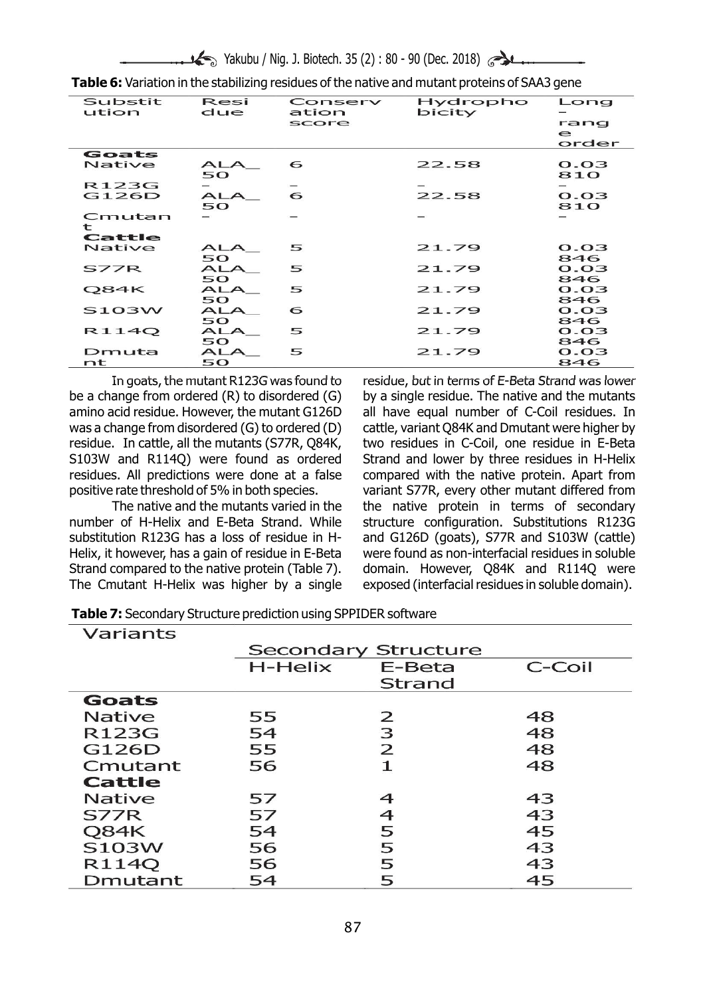|--|--|--|--|--|--|--|--|

| <b>Substit</b><br>ution | Resi<br>due      | Conserv<br>ation<br>score | Hydropho<br>bicity | Long<br>rang<br>$\epsilon$<br>order |
|-------------------------|------------------|---------------------------|--------------------|-------------------------------------|
| Goats                   |                  |                           |                    |                                     |
| Native                  | <b>ALA</b><br>50 | 6                         | 22.58              | O.O3<br>810                         |
| R123G                   |                  |                           |                    |                                     |
| G126D                   | <b>ALA</b><br>50 | 6                         | 22.58              | O.03<br>810                         |
| Cmutan<br>t             |                  |                           |                    |                                     |
| Cattle                  |                  |                           |                    |                                     |
| Native                  | <b>ALA</b><br>50 | 5                         | 21.79              | O. O3<br>846                        |
| S77R                    | <b>ALA</b><br>50 | 5                         | 21.79              | O.O3<br>846                         |
| Q84K                    | <b>ALA</b><br>50 | 5                         | 21.79              | O. O3<br>846                        |
| <b>S103W</b>            | ALA<br>50        | 6                         | 21.79              | O.03<br>846                         |
| R114O                   | ALA<br>50        | 5                         | 21.79              | O.03<br>846                         |
| Dmuta<br>nt             | <b>ALA</b><br>50 | 5                         | 21.79              | O.O3<br>846                         |

**Table 6:** Variation in the stabilizing residues of the native and mutant proteins of SAA3 gene

be a change from ordered  $(R)$  to disordered  $(G)$  by a single residue. The native and the mutants amino acid residue. However, the mutant G126D all have equal number of C-Coil residues. In was a change from disordered (G) to ordered (D) cattle, variant Q84K and Dmutant were higher by residue. In cattle, all the mutants (S77R, Q84K, two residues in C-Coil, one residue in E-Beta S103W and R114Q) were found as ordered Strand and lower by three residues in H-Helix residues. All predictions were done at a false compared with the native protein. Apart from

number of H-Helix and E-Beta Strand. While structure configuration. Substitutions R123G substitution R123G has a loss of residue in H- and G126D (goats), S77R and S103W (cattle) Helix, it however, has a gain of residue in E-Beta were found as non-interfacial residues in soluble Strand compared to the native protein (Table 7). domain. However, Q84K and R114Q were

In goats, the mutant R123G was found to residue, but in terms of E-Beta Strand was lower positive rate threshold of 5% in both species. variant S77R, every other mutant differed from The native and the mutants varied in the the native protein in terms of secondary The Cmutant H-Helix was higher by a single exposed (interfacial residues in soluble domain).

|  | Table 7: Secondary Structure prediction using SPPIDER software |  |  |  |  |
|--|----------------------------------------------------------------|--|--|--|--|
|--|----------------------------------------------------------------|--|--|--|--|

| Variants      |                            |                |        |
|---------------|----------------------------|----------------|--------|
|               | <b>Secondary Structure</b> |                |        |
|               | H-Helix                    | E-Beta         | C-Coil |
|               |                            | <b>Strand</b>  |        |
| Goats         |                            |                |        |
| <b>Native</b> | 55                         | 2              | 48     |
| R123G         | 54                         | 3              | 48     |
| G126D         | 55                         | $\overline{2}$ | 48     |
| Cmutant       | 56                         | $\mathbf 1$    | 48     |
| Cattle        |                            |                |        |
| <b>Native</b> | 57                         | 4              | 43     |
| <b>S77R</b>   | 57                         | 4              | 43     |
| Q84K          | 54                         | 5              | 45     |
| S103W         | 56                         | 5              | 43     |
| R114Q         | 56                         | 5              | 43     |
| Dmutant       | 54                         | 5              | 45     |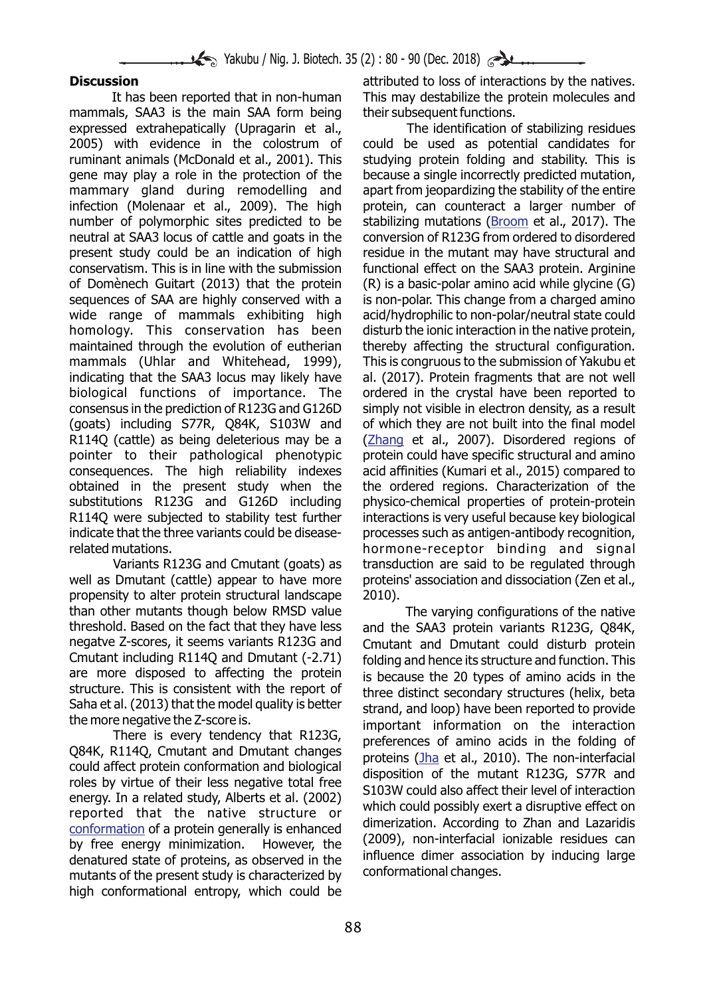mammals, SAA3 is the main SAA form being their subsequent functions. expressed extrahepatically (Upragarin et al., The identification of stabilizing residues 2005) with evidence in the colostrum of could be used as potential candidates for ruminant animals (McDonald et al., 2001). This studying protein folding and stability. This is gene may play a role in the protection of the because a single incorrectly predicted mutation, mammary gland during remodelling and apart from jeopardizing the stability of the entire infection (Molenaar et al., 2009). The high protein, can counteract a larger number of number of polymorphic sites predicted to be stabilizing mutations (Broom et al., 2017). The neutral at SAA3 locus of cattle and goats in the conversion of R123G from ordered to disordered present study could be an indication of high residue in the mutant may have structural and conservatism. This is in line with the submission functional effect on the SAA3 protein. Arginine of Domènech Guitart (2013) that the protein (R) is a basic-polar amino acid while glycine (G) sequences of SAA are highly conserved with a is non-polar. This change from a charged amino wide range of mammals exhibiting high acid/hydrophilic to non-polar/neutral state could homology. This conservation has been disturb the ionic interaction in the native protein, maintained through the evolution of eutherian thereby affecting the structural configuration. mammals (Uhlar and Whitehead, 1999), This is congruous to the submission of Yakubu et indicating that the SAA3 locus may likely have al. (2017). Protein fragments that are not well biological functions of importance. The ordered in the crystal have been reported to consensus in the prediction of R123G and G126D simply not visible in electron density, as a result (goats) including S77R, Q84K, S103W and of which they are not built into the final model R114Q (cattle) as being deleterious may be a (Zhang et al., 2007). Disordered regions of pointer to their pathological phenotypic protein could have specific structural and amino consequences. The high reliability indexes acid affinities (Kumari et al., 2015) compared to obtained in the present study when the the ordered regions. Characterization of the substitutions R123G and G126D including physico-chemical properties of protein-protein R114Q were subjected to stability test further interactions is very useful because key biological indicate that the three variants could be disease- processes such as antigen-antibody recognition, related mutations. The matrix of the mutations of the mutations. The mutations of the mutations of the mutation

well as Dmutant (cattle) appear to have more proteins' association and dissociation (Zen et al., propensity to alter protein structural landscape 2010). than other mutants though below RMSD value The varying configurations of the native threshold. Based on the fact that they have less and the SAA3 protein variants R123G, Q84K, negatve Z-scores, it seems variants R123G and Cmutant and Dmutant could disturb protein negatve Z-scores, it seems variants R123G and Cmutant and Dmutant could disturb protein<br>Cmutant including R114Q and Dmutant (-2.71) folding and hence its structure and function This Cmutant including R114Q and Dmutant  $(-2.71)$  folding and hence its structure and function. This care more disposed to affecting the protein  $\frac{1}{2}$  is because the 20 types of amino acids in the are more disposed to affecting the protein is because the 20 types of amino acids in the structures. This is consistent with the report of  $\epsilon$  three distinct secondary structures (belix beta structure. This is consistent with the report of three distinct secondary structures (helix, beta<br>Saha et al. (2013) that the model quality is better strand, and loon) have been reported to provide Saha et al. (2013) that the model quality is better strand, and loop) have been reported to provide<br>the more negative the Z-score is. when important information on the interaction

There is every tendency that R123G,<br>
Q84K, R114Q, Cmutant and Dmutant changes<br>
could affect protein conformation and biological<br>
roles by virtue of their less negative total free<br>
energy. In a related study, Alberts et al.  $\frac{1}{2009}$ , non-interfacial ionizable residues can by free energy minimization. However, the (2009), non-interfacial ionizable residues can denstured state of proteins as observed in the  $\frac{1}{2009}$  influence dimer ass denatured state of proteins, as observed in the linitiance dimer association<br>mutants of the present study is characterized by conformational changes. mutants of the present study is characterized by high conformational entropy, which could be conformation of a protein generally is enhanced

**Discussion Discussion attributed to loss of interactions by the natives.** It has been reported that in non-human This may destabilize the protein molecules and

Variants R123G and Cmutant (goats) as transduction are said to be regulated through

the megative the z-score is.<br>There is every tendency that R123G, areferences of amine aside in the folding of proteins (Jha et al., 2010). The non-interfacial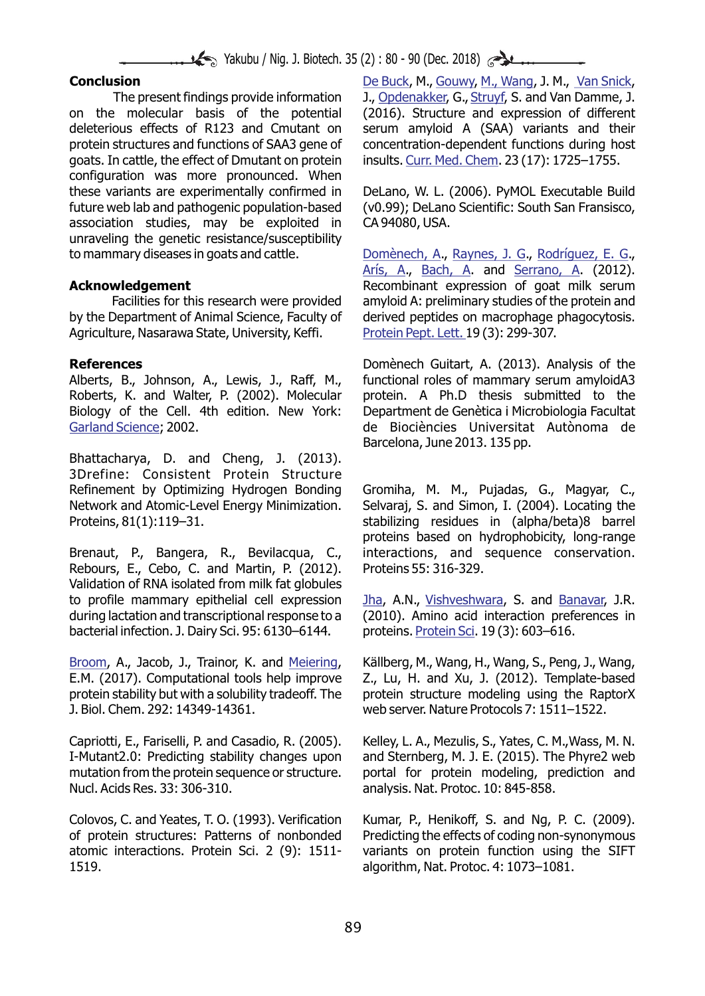Yakubu / Nig. J. Biotech. 35 (2) : 80 - 90 (Dec. 2018)

on the molecular basis of the potential (2016). Structure and expression of different deleterious effects of R123 and Cmutant on serum amyloid A (SAA) variants and their protein structures and functions of SAA3 gene of concentration-dependent functions during host goats. In cattle, the effect of Dmutant on protein hinsults. Curr. Med. Chem. 23 (17): 1725–1755. configuration was more pronounced. When these variants are experimentally confirmed in DeLano, W. L. (2006). PyMOL Executable Build future web lab and pathogenic population-based (v0.99); DeLano Scientific: South San Fransisco, association studies, may be exploited in CA 94080, USA. unraveling the genetic resistance/susceptibility

by the Department of Animal Science, Faculty of derived peptides on macrophage phagocytosis. Agriculture, Nasarawa State, University, Keffi.

Roberts, K. and Walter, P. (2002). Molecular protein. A Ph.D thesis submitted to the Biology of the Cell. 4th edition. New York: Department de Genètica i Microbiologia Facultat Garland Science; 2002.

Bhattacharya, D. and Cheng, J. (2013). 3Drefine: Consistent Protein Structure Refinement by Optimizing Hydrogen Bonding Gromiha, M. M., Pujadas, G., Magyar, C., Network and Atomic-Level Energy Minimization. Selvaraj, S. and Simon, I. (2004). Locating the Proteins, 81(1):119–31. Stabilizing residues in (alpha/beta)8 barrel

Rebours, E., Cebo, C. and Martin, P. (2012). Proteins 55: 316-329. Validation of RNA isolated from milk fat globules to profile mammary epithelial cell expression <u>Jha</u>, A.N., <u>Vishveshwara</u>, S. and <u>Banavar</u>, J.R. during lactation and transcriptional response to a (2010). Amino acid interaction preferences in bacterial infection. J. Dairy Sci. 95: 6130–6144.

E.M. (2017). Computational tools help improve Z., Lu, H. and Xu, J. (2012). Template-based protein stability but with a solubility tradeoff. The protein structure modeling using the RaptorX J. Biol. Chem. 292: 14349-14361. web server. Nature Protocols 7: 1511–1522. Broom, A., Jacob, J., Trainor, K. and Meiering,

I-Mutant2.0: Predicting stability changes upon and Sternberg, M. J. E. (2015). The Phyre2 web mutation from the protein sequence or structure. portal for protein modeling, prediction and Nucl. Acids Res. 33: 306-310. analysis. Nat. Protoc. 10: 845-858.

Colovos, C. and Yeates, T. O. (1993). Verification Kumar, P., Henikoff, S. and Ng, P. C. (2009). of protein structures: Patterns of nonbonded Predicting the effects of coding non-synonymous atomic interactions. Protein Sci. 2 (9): 1511- variants on protein function using the SIFT 1519. algorithm, Nat. Protoc. 4: 1073–1081.

**Conclusion Conclusion State Conclusion Conclusion Conclusion Conclusion Conclusion Conclusion Conclusion Conclusion Conclusion Conclusion Conclusion Conclusion Conclusion Conclusion Conclus** The present findings provide information J., Opdenakker, G., Struyf, S. and Van Damme, J.

to mammary diseases in goats and cattle. <u>Domènech, A., Raynes, J. G., Rodríguez, E. G.,</u> Arís, A., Bach, A. and <u>Serrano, A</u>. (2012). **Acknowledgement** and **Recombinant expression of goat milk serum** Facilities for this research were provided amyloid A: preliminary studies of the protein and Protein Pept. Lett. 19(3): 299-307.

**References Domènech Guitart, A. (2013). Analysis of the** Alberts, B., Johnson, A., Lewis, J., Raff, M., functional roles of mammary serum amyloidA3 ; 2002. de Biociències Universitat Autònoma de Barcelona, June 2013. 135 pp.

proteins based on hydrophobicity, long-range Brenaut, P., Bangera, R., Bevilacqua, C., interactions, and sequence conservation.

proteins. Protein Sci. 19(3): 603-616.

Källberg, M., Wang, H., Wang, S., Peng, J., Wang,

Capriotti, E., Fariselli, P. and Casadio, R. (2005). Kelley, L. A., Mezulis, S., Yates, C. M.,Wass, M. N.